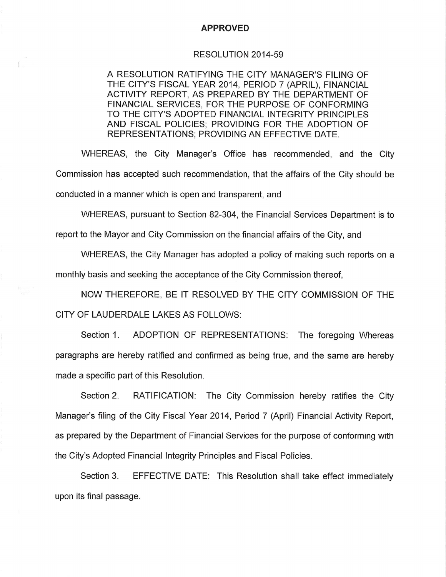## **APPROVED**

## RESOLUTION 2014-59

A RESOLUTION RATIFYING THE CITY MANAGER'S FILING OF THE CITY'S FISCAL YEAR 2014, PERIOD 7 (APRIL), FINANCIAL ACTIVITY REPORT, AS PREPARED BY THE DEPARTMENT OF FINANCIAL SERVICES, FOR THE PURPOSE OF CONFORMING TO THE CITY'S ADOPTED FINANCIAL INTEGRITY PRINCIPLES AND FISCAL POLICIES; PROVIDING FOR THE ADOPTION OF REPRESENTATIONS; PROVIDING AN EFFECTIVE DATE.

WHEREAS, the City Manager's Office has recommended, and the City Commission has accepted such recommendation, that the affairs of the City should be conducted in a manner which is open and transparent, and

WHEREAS, pursuant to Section 82-304, the Financial Services Department is to

report to the Mayor and City Commission on the financial affairs of the City, and

WHEREAS, the City Manager has adopted a policy of making such reports on a monthly basis and seeking the acceptance of the City Commission thereof.

NOW THEREFORE, BE IT RESOLVED BY THE CITY COMMISSION OF THE CITY OF LAUDERDALE LAKES AS FOLLOWS:

ADOPTION OF REPRESENTATIONS: The foregoing Whereas Section 1. paragraphs are hereby ratified and confirmed as being true, and the same are hereby made a specific part of this Resolution.

Section 2. RATIFICATION: The City Commission hereby ratifies the City Manager's filing of the City Fiscal Year 2014, Period 7 (April) Financial Activity Report, as prepared by the Department of Financial Services for the purpose of conforming with the City's Adopted Financial Integrity Principles and Fiscal Policies.

EFFECTIVE DATE: This Resolution shall take effect immediately Section 3. upon its final passage.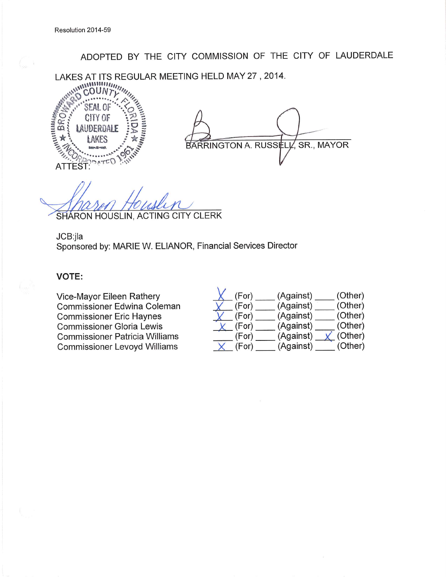ADOPTED BY THE CITY COMMISSION OF THE CITY OF LAUDERDALE

LAKES AT ITS REGULAR MEETING HELD MAY 27, 2014.



SR., MAYOR BARRINGTON A. RUSSELL

SHARON HOUSLIN, ACTING CITY CLERK

JCB:jla

Sponsored by: MARIE W. ELIANOR, Financial Services Director

## **VOTE:**

Vice-Mayor Eileen Rathery Commissioner Edwina Coleman **Commissioner Eric Haynes Commissioner Gloria Lewis Commissioner Patricia Williams Commissioner Levoyd Williams** 

| (For) | (Against) | (Other) |
|-------|-----------|---------|
| (For) | (Against) | (Other) |
| (For) | (Against) | (Other) |
| (For) | (Against) | (Other) |
| (For) | (Against) | (Other) |
| (For) | (Against) | (Other) |